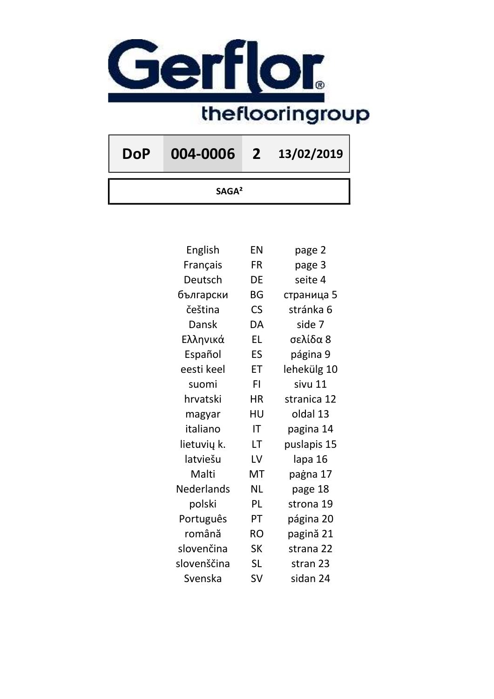

DoP 004-0006 2 13/02/2019

SAGA²

| English     | EN                       | page 2      |
|-------------|--------------------------|-------------|
| Français    | FR                       | page 3      |
| Deutsch     | DE                       | seite 4     |
| български   | <b>BG</b>                | страница 5  |
| čeština     | $\mathsf{CS}\phantom{0}$ | stránka 6   |
| Dansk       | DA                       | side 7      |
| Ελληνικά    | <b>EL</b>                | σελίδα 8    |
| Español     | ES                       | página 9    |
| eesti keel  | ET                       | lehekülg 10 |
| suomi       | FI                       | sivu 11     |
| hrvatski    | <b>HR</b>                | stranica 12 |
| magyar      | HU                       | oldal 13    |
| italiano    | IT                       | pagina 14   |
| lietuvių k. | LT                       | puslapis 15 |
| latviešu    | LV                       | lapa 16     |
| Malti       | MT                       | paġna 17    |
| Nederlands  | <b>NL</b>                | page 18     |
| polski      | PL                       | strona 19   |
| Português   | PT                       | página 20   |
| română      | <b>RO</b>                | pagină 21   |
| slovenčina  | <b>SK</b>                | strana 22   |
| slovenščina | <b>SL</b>                | stran 23    |
| Svenska     | <b>SV</b>                | sidan 24    |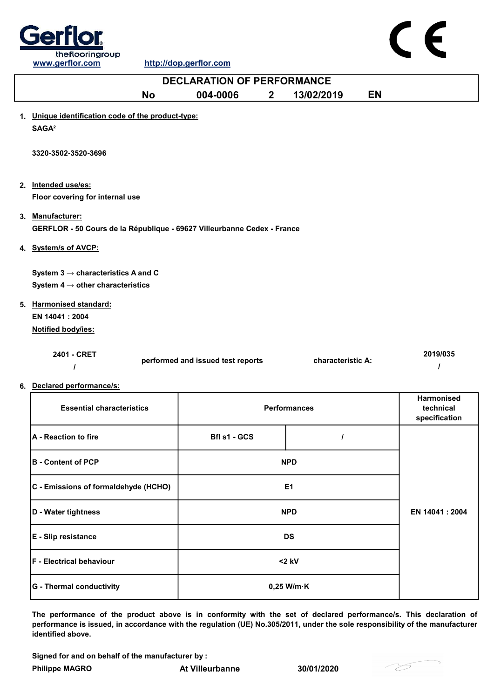

## No 004-0006 2 13/02/2019 EN 1. Unique identification code of the product-type: SAGA² 2. Intended use/es: 3. Manufacturer: 4. System/s of AVCP: 5. Harmonised standard:  $2401 0057$ DECLARATION OF PERFORMANCE 2019/035 3320-3502-3520-3696 Floor covering for internal use GERFLOR - 50 Cours de la République - 69627 Villeurbanne Cedex - France System 4  $\rightarrow$  other characteristics EN 14041 : 2004 System 3  $\rightarrow$  characteristics A and C Notified body/ies:

| 2401 - CRET | performed and issued test reports | characteristic A: | 2019/035 |
|-------------|-----------------------------------|-------------------|----------|
|             |                                   |                   |          |

6. Declared performance/s:

| <b>Essential characteristics</b>     | <b>Performances</b>  | <b>Harmonised</b><br>technical<br>specification |  |
|--------------------------------------|----------------------|-------------------------------------------------|--|
| A - Reaction to fire                 | Bfl s1 - GCS         |                                                 |  |
| <b>B</b> - Content of PCP            | <b>NPD</b>           |                                                 |  |
| C - Emissions of formaldehyde (HCHO) | E <sub>1</sub>       |                                                 |  |
| D - Water tightness                  | <b>NPD</b>           | EN 14041 : 2004                                 |  |
| E - Slip resistance                  | <b>DS</b>            |                                                 |  |
| <b>F</b> - Electrical behaviour      | $<$ 2 kV             |                                                 |  |
| G - Thermal conductivity             | $0,25$ W/m $\cdot$ K |                                                 |  |

The performance of the product above is in conformity with the set of declared performance/s. This declaration of performance is issued, in accordance with the regulation (UE) No.305/2011, under the sole responsibility of the manufacturer identified above.

Signed for and on behalf of the manufacturer by :

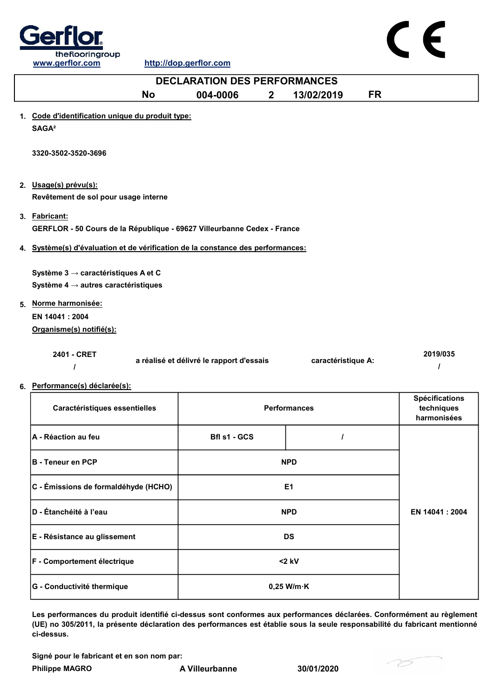

| <b>DECLARATION DES PERFORMANCES</b>                                                      |                                          |                     |                                                    |  |
|------------------------------------------------------------------------------------------|------------------------------------------|---------------------|----------------------------------------------------|--|
| <b>No</b>                                                                                | 004-0006<br>$2^{\circ}$                  | 13/02/2019          | <b>FR</b>                                          |  |
| 1. Code d'identification unique du produit type:<br>SAGA <sup>2</sup>                    |                                          |                     |                                                    |  |
| 3320-3502-3520-3696                                                                      |                                          |                     |                                                    |  |
| 2. Usage(s) prévu(s):<br>Revêtement de sol pour usage interne                            |                                          |                     |                                                    |  |
| 3. Fabricant:<br>GERFLOR - 50 Cours de la République - 69627 Villeurbanne Cedex - France |                                          |                     |                                                    |  |
| 4. Système(s) d'évaluation et de vérification de la constance des performances:          |                                          |                     |                                                    |  |
| Système 3 → caractéristiques A et C                                                      |                                          |                     |                                                    |  |
| Système 4 $\rightarrow$ autres caractéristiques                                          |                                          |                     |                                                    |  |
| 5. Norme harmonisée:<br>EN 14041: 2004<br>Organisme(s) notifié(s):                       |                                          |                     |                                                    |  |
| 2401 - CRET                                                                              | a réalisé et délivré le rapport d'essais | caractéristique A:  | 2019/035                                           |  |
| 6. Performance(s) déclarée(s):                                                           |                                          |                     |                                                    |  |
| Caractéristiques essentielles                                                            |                                          | <b>Performances</b> | <b>Spécifications</b><br>techniques<br>harmonisées |  |
| A - Réaction au feu                                                                      | Bfl s1 - GCS                             | $\prime$            |                                                    |  |
| <b>B</b> - Teneur en PCP                                                                 |                                          | <b>NPD</b>          |                                                    |  |

| וט ויטוויטוויטו ש                    | .                    |                 |
|--------------------------------------|----------------------|-----------------|
| C - Émissions de formaldéhyde (HCHO) | E <sub>1</sub>       |                 |
| D - Étanchéité à l'eau               | <b>NPD</b>           | EN 14041 : 2004 |
| E - Résistance au glissement         | <b>DS</b>            |                 |
| <b>F</b> - Comportement électrique   | $<$ 2 kV             |                 |
| G - Conductivité thermique           | $0,25$ W/m $\cdot$ K |                 |

Les performances du produit identifié ci-dessus sont conformes aux performances déclarées. Conformément au règlement (UE) no 305/2011, la présente déclaration des performances est établie sous la seule responsabilité du fabricant mentionné ci-dessus.

Signé pour le fabricant et en son nom par:

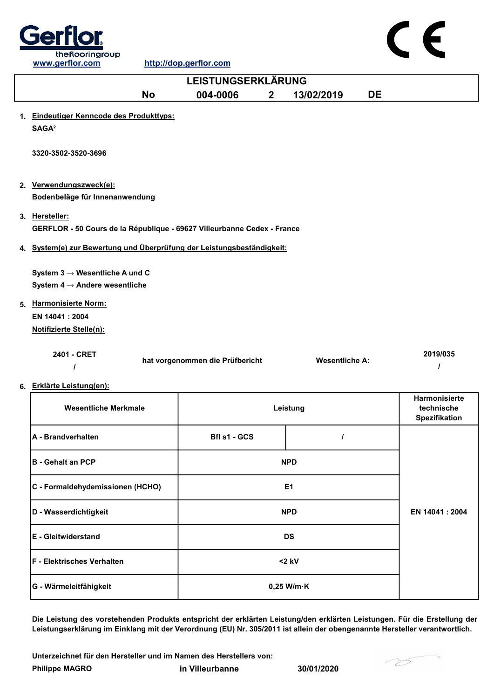

| <u>www.ychol.com</u>                                                    | <u> шир. дор. усплог. com</u>   |                       |    |                      |
|-------------------------------------------------------------------------|---------------------------------|-----------------------|----|----------------------|
|                                                                         | <b>LEISTUNGSERKLÄRUNG</b>       |                       |    |                      |
| <b>No</b>                                                               | 004-0006<br>$\mathbf{2}$        | 13/02/2019            | DE |                      |
| 1. Eindeutiger Kenncode des Produkttyps:                                |                                 |                       |    |                      |
| SAGA <sup>2</sup>                                                       |                                 |                       |    |                      |
|                                                                         |                                 |                       |    |                      |
| 3320-3502-3520-3696                                                     |                                 |                       |    |                      |
|                                                                         |                                 |                       |    |                      |
| 2. Verwendungszweck(e):                                                 |                                 |                       |    |                      |
| Bodenbeläge für Innenanwendung                                          |                                 |                       |    |                      |
| 3. Hersteller:                                                          |                                 |                       |    |                      |
| GERFLOR - 50 Cours de la République - 69627 Villeurbanne Cedex - France |                                 |                       |    |                      |
| 4. System(e) zur Bewertung und Überprüfung der Leistungsbeständigkeit:  |                                 |                       |    |                      |
|                                                                         |                                 |                       |    |                      |
| System $3 \rightarrow$ Wesentliche A und C                              |                                 |                       |    |                      |
| System 4 $\rightarrow$ Andere wesentliche                               |                                 |                       |    |                      |
| 5. Harmonisierte Norm:                                                  |                                 |                       |    |                      |
| EN 14041: 2004                                                          |                                 |                       |    |                      |
| Notifizierte Stelle(n):                                                 |                                 |                       |    |                      |
| 2401 - CRET                                                             |                                 |                       |    | 2019/035             |
| $\prime$                                                                | hat vorgenommen die Prüfbericht | <b>Wesentliche A:</b> |    | $\prime$             |
|                                                                         |                                 |                       |    |                      |
| 6. Erklärte Leistung(en):                                               |                                 |                       |    | Harmonisierte        |
| <b>Wesentliche Merkmale</b>                                             |                                 | Leistung              |    | technische           |
|                                                                         |                                 |                       |    | <b>Spezifikation</b> |
| A - Brandverhalten                                                      | Bfl s1 - GCS                    | $\mathcal{L}$         |    |                      |
|                                                                         |                                 |                       |    |                      |
| <b>B</b> - Gehalt an PCP                                                |                                 | <b>NPD</b>            |    |                      |
| C - Formaldehydemissionen (HCHO)                                        |                                 | E <sub>1</sub>        |    |                      |
|                                                                         |                                 |                       |    |                      |
| D - Wasserdichtigkeit                                                   |                                 | <b>NPD</b>            |    | EN 14041 : 2004      |
|                                                                         |                                 |                       |    |                      |

| E - Gleitwiderstand        | DS                   |  |
|----------------------------|----------------------|--|
| F - Elektrisches Verhalten | $<$ 2 kV             |  |
| G - Wärmeleitfähigkeit     | $0,25$ W/m $\cdot$ K |  |

Die Leistung des vorstehenden Produkts entspricht der erklärten Leistung/den erklärten Leistungen. Für die Erstellung der Leistungserklärung im Einklang mit der Verordnung (EU) Nr. 305/2011 ist allein der obengenannte Hersteller verantwortlich.

Philippe MAGRO in Villeurbanne 30/01/2020 Unterzeichnet für den Hersteller und im Namen des Herstellers von:



 $C \in$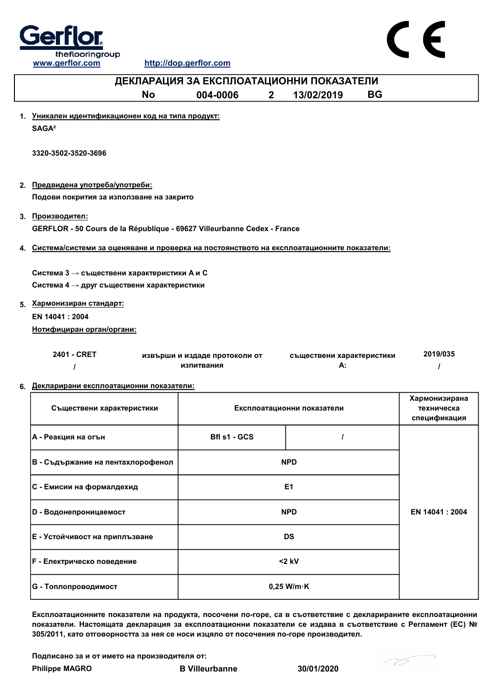

www.gerflor.com http://dop.gerflor.com



|    | www.yernor.com                                                                            | <b>IIIID.</b> //UOD.ger1101.COM          |                            |           |               |
|----|-------------------------------------------------------------------------------------------|------------------------------------------|----------------------------|-----------|---------------|
|    |                                                                                           | ДЕКЛАРАЦИЯ ЗА ЕКСПЛОАТАЦИОННИ ПОКАЗАТЕЛИ |                            |           |               |
|    | <b>No</b>                                                                                 | 004-0006<br>2 <sup>1</sup>               | 13/02/2019                 | <b>BG</b> |               |
|    | 1. Уникален идентификационен код на типа продукт:                                         |                                          |                            |           |               |
|    | SAGA <sup>2</sup>                                                                         |                                          |                            |           |               |
|    |                                                                                           |                                          |                            |           |               |
|    | 3320-3502-3520-3696                                                                       |                                          |                            |           |               |
|    |                                                                                           |                                          |                            |           |               |
|    | 2. Предвидена употреба/употреби:                                                          |                                          |                            |           |               |
|    | Подови покрития за използване на закрито                                                  |                                          |                            |           |               |
|    |                                                                                           |                                          |                            |           |               |
|    | 3. Производител:                                                                          |                                          |                            |           |               |
|    | GERFLOR - 50 Cours de la République - 69627 Villeurbanne Cedex - France                   |                                          |                            |           |               |
| 4. | Система/системи за оценяване и проверка на постоянството на експлоатационните показатели: |                                          |                            |           |               |
|    |                                                                                           |                                          |                            |           |               |
|    | Система 3 $\rightarrow$ съществени характеристики А и С                                   |                                          |                            |           |               |
|    | Система 4 → друг съществени характеристики                                                |                                          |                            |           |               |
| 5. | Хармонизиран стандарт:                                                                    |                                          |                            |           |               |
|    | EN 14041 : 2004                                                                           |                                          |                            |           |               |
|    | Нотифициран орган/органи:                                                                 |                                          |                            |           |               |
|    |                                                                                           |                                          |                            |           |               |
|    | 2401 - CRET                                                                               | извърши и издаде протоколи от            | съществени характеристики  |           | 2019/035      |
|    | I                                                                                         | изпитвания                               | А:                         |           | ı             |
|    | 6. Декларирани експлоатационни показатели:                                                |                                          |                            |           |               |
|    |                                                                                           |                                          |                            |           | Хармонизирана |
|    | Съществени характеристики                                                                 |                                          | Експлоатационни показатели |           | техническа    |
|    |                                                                                           |                                          |                            |           | спецификация  |
|    | А - Реакция на огън                                                                       | Bfl s1 - GCS                             |                            |           |               |
|    |                                                                                           |                                          |                            |           |               |
|    | В - Съдържание на пентахлорофенол                                                         |                                          | <b>NPD</b>                 |           |               |
|    |                                                                                           |                                          |                            |           |               |
|    | С - Емисии на формалдехид                                                                 |                                          | E1                         |           |               |
|    |                                                                                           |                                          |                            |           |               |

| <b>D</b> - Водонепроницаемост         | <b>NPD</b>                                                                                                 | EN 14041 : 2004 |
|---------------------------------------|------------------------------------------------------------------------------------------------------------|-----------------|
| <b>Е</b> - Устойчивост на приплъзване | DS                                                                                                         |                 |
| <b>F</b> - Електрическо поведение     | $<$ 2 kV                                                                                                   |                 |
| <b>G</b> - Топлопроводимост           | $0.25$ W/m $\cdot$ K                                                                                       |                 |
|                                       | Експпозтанионнито показатоли на пропукта, посонони по горо, са в съоттотрио с поклариванито оксплозтанионн |                 |

Експлоатационните показатели на продукта, посочени по-горе, са в съответствие с декларираните експлоатационни показатели. Настоящата декларация за експлоатационни показатели се издава в съответствие с Регламент (ЕС) № 305/2011, като отговорността за нея се носи изцяло от посочения по-горе производител.

Подписано за и от името на производителя от:

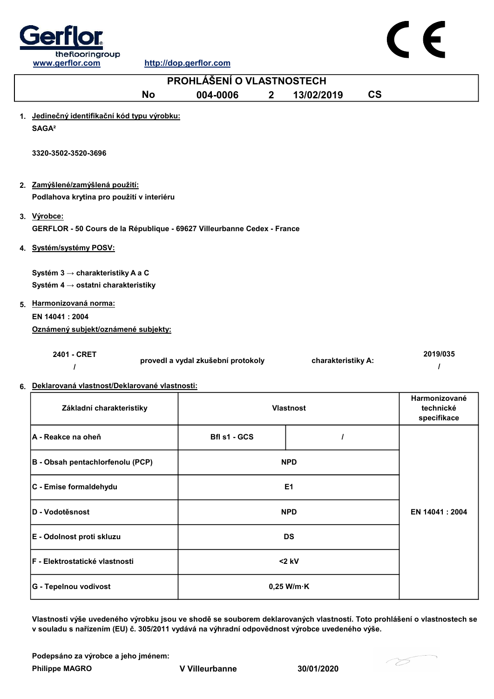



## No 004-0006 2 13/02/2019 CS 1. Jedinečný identifikační kód typu výrobku: SAGA² 2. <u>Zamýšlené/zamýšlená použití:</u> 3. Výrobce: 4. Systém/systémy POSV: 5. Harmonizovaná norma: 2401 - CRET / 6. Deklarovaná vlastnost/Deklarované vlastnosti: provedl a vydal zkušební protokoly charakteristiky A: / PROHLÁŠENÍ O VLASTNOSTECH 3320-3502-3520-3696 Podlahova krytina pro použití v interiéru GERFLOR - 50 Cours de la République - 69627 Villeurbanne Cedex - France Systém 3 → charakteristiky A a C Systém 4 → ostatni charakteristiky EN 14041 : 2004 Oznámený subjekt/oznámené subjekty: 2019/035

| Základní charakteristiky         | <b>Vlastnost</b>     | Harmonizované<br>technické<br>specifikace |  |
|----------------------------------|----------------------|-------------------------------------------|--|
| IA - Reakce na oheň              | Bfl s1 - GCS         |                                           |  |
| B - Obsah pentachlorfenolu (PCP) | <b>NPD</b>           |                                           |  |
| C - Emise formaldehydu           | E <sub>1</sub>       |                                           |  |
| D - Vodotěsnost                  | <b>NPD</b>           | EN 14041 : 2004                           |  |
| E - Odolnost proti skluzu        | <b>DS</b>            |                                           |  |
| F - Elektrostatické vlastnosti   | $<$ 2 kV             |                                           |  |
| G - Tepelnou vodivost            | $0,25$ W/m $\cdot$ K |                                           |  |

Vlastnosti výše uvedeného výrobku jsou ve shodě se souborem deklarovaných vlastností. Toto prohlášení o vlastnostech se v souladu s nařízením (EU) č. 305/2011 vydává na výhradní odpovědnost výrobce uvedeného výše.

Philippe MAGRO V Villeurbanne 30/01/2020 Podepsáno za výrobce a jeho jménem:

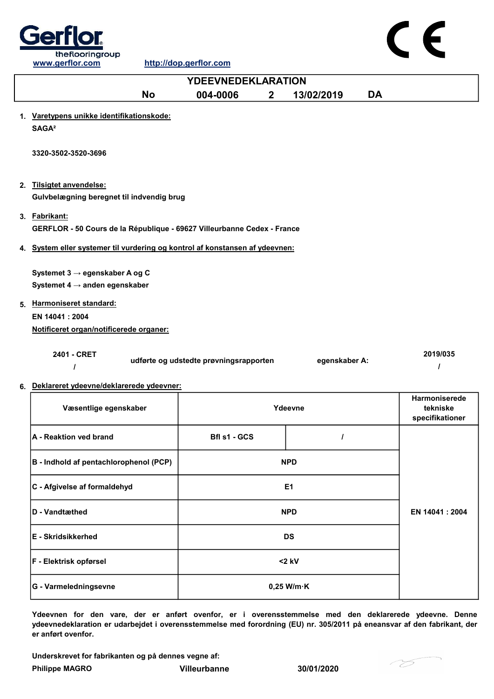

| <u>TATALAN MARKATKAN MI</u><br><u>inepline of pige intervention</u>          |                                        |                |               |           |                 |
|------------------------------------------------------------------------------|----------------------------------------|----------------|---------------|-----------|-----------------|
|                                                                              | <b>YDEEVNEDEKLARATION</b>              |                |               |           |                 |
| <b>No</b>                                                                    | 004-0006                               | $\overline{2}$ | 13/02/2019    | <b>DA</b> |                 |
| 1. Varetypens unikke identifikationskode:                                    |                                        |                |               |           |                 |
| SAGA <sup>2</sup>                                                            |                                        |                |               |           |                 |
|                                                                              |                                        |                |               |           |                 |
| 3320-3502-3520-3696                                                          |                                        |                |               |           |                 |
|                                                                              |                                        |                |               |           |                 |
| 2. Tilsigtet anvendelse:                                                     |                                        |                |               |           |                 |
| Gulvbelægning beregnet til indvendig brug                                    |                                        |                |               |           |                 |
| 3. Fabrikant:                                                                |                                        |                |               |           |                 |
| GERFLOR - 50 Cours de la République - 69627 Villeurbanne Cedex - France      |                                        |                |               |           |                 |
|                                                                              |                                        |                |               |           |                 |
| 4. System eller systemer til vurdering og kontrol af konstansen af ydeevnen: |                                        |                |               |           |                 |
| Systemet 3 → egenskaber A og C                                               |                                        |                |               |           |                 |
| Systemet 4 $\rightarrow$ anden egenskaber                                    |                                        |                |               |           |                 |
|                                                                              |                                        |                |               |           |                 |
| 5. Harmoniseret standard:<br>EN 14041: 2004                                  |                                        |                |               |           |                 |
| Notificeret organ/notificerede organer:                                      |                                        |                |               |           |                 |
|                                                                              |                                        |                |               |           |                 |
| 2401 - CRET                                                                  |                                        |                |               |           | 2019/035        |
|                                                                              | udførte og udstedte prøvningsrapporten |                | egenskaber A: |           |                 |
| 6. Deklareret ydeevne/deklarerede ydeevner:                                  |                                        |                |               |           |                 |
|                                                                              |                                        |                |               |           | Harmoniserede   |
| Væsentlige egenskaber                                                        |                                        |                | Ydeevne       |           | tekniske        |
|                                                                              |                                        |                |               |           | specifikationer |
| A - Reaktion ved brand                                                       | Bfl s1 - GCS                           |                | $\mathcal{L}$ |           |                 |
|                                                                              |                                        |                |               |           |                 |
| B - Indhold af pentachlorophenol (PCP)                                       |                                        |                | <b>NPD</b>    |           |                 |
| C - Afgivelse af formaldehyd                                                 |                                        |                | E1            |           |                 |
|                                                                              |                                        |                |               |           |                 |

D - Vandtæthed NPD E - Skridsikkerhed DS F - Elektrisk opførsel <2 kV G - Varmeledningsevne by a control of the control of the 0,25 W/m·K EN 14041 : 2004

Ydeevnen for den vare, der er anført ovenfor, er i overensstemmelse med den deklarerede ydeevne. Denne ydeevnedeklaration er udarbejdet i overensstemmelse med forordning (EU) nr. 305/2011 på eneansvar af den fabrikant, der er anført ovenfor.

Underskrevet for fabrikanten og på dennes vegne af:

Philippe MAGRO Villeurbanne 30/01/2020



 $C \in$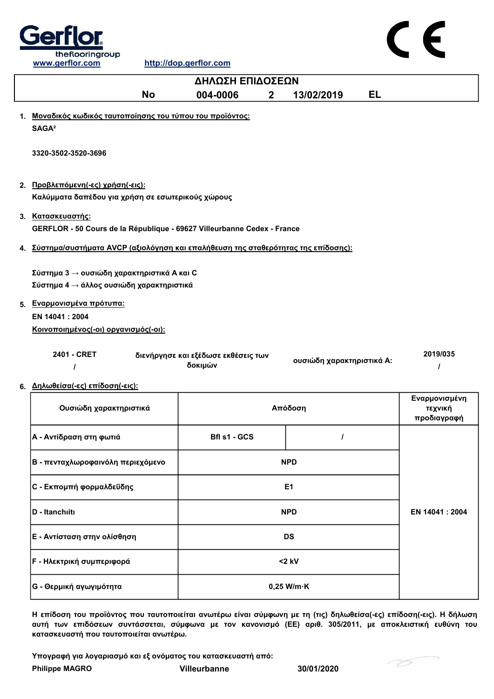

| ΔΗΛΩΣΗ ΕΠΙΔΟΣΕΩΝ                                                                                                                |                                                |              |                           |           |                                         |
|---------------------------------------------------------------------------------------------------------------------------------|------------------------------------------------|--------------|---------------------------|-----------|-----------------------------------------|
| <b>No</b>                                                                                                                       | 004-0006                                       | $\mathbf{2}$ | 13/02/2019                | <b>EL</b> |                                         |
| 1. Μοναδικός κωδικός ταυτοποίησης του τύπου του προϊόντος:<br>SAGA <sup>2</sup>                                                 |                                                |              |                           |           |                                         |
| 3320-3502-3520-3696                                                                                                             |                                                |              |                           |           |                                         |
| 2. Προβλεπόμενη(-ες) χρήση(-εις):<br>Καλύμματα δαπέδου για χρήση σε εσωτερικούς χώρους                                          |                                                |              |                           |           |                                         |
| 3. Κατασκευαστής:<br>GERFLOR - 50 Cours de la République - 69627 Villeurbanne Cedex - France                                    |                                                |              |                           |           |                                         |
| 4. Σύστημα/συστήματα AVCP (αξιολόγηση και επαλήθευση της σταθερότητας της επίδοσης):                                            |                                                |              |                           |           |                                         |
| Σύστημα 3 $\rightarrow$ ουσιώδη χαρακτηριστικά Α και C<br>Σύστημα 4 → άλλος ουσιώδη χαρακτηριστικά<br>5. Εναρμονισμένα πρότυπα: |                                                |              |                           |           |                                         |
| EN 14041 : 2004                                                                                                                 |                                                |              |                           |           |                                         |
| Κοινοποιημένος(-οι) οργανισμός(-οι):                                                                                            |                                                |              |                           |           |                                         |
| 2401 - CRET<br>$\prime$                                                                                                         | διενήργησε και εξέδωσε εκθέσεις των<br>δοκιμών |              | ουσιώδη χαρακτηριστικά Α: |           | 2019/035<br>$\prime$                    |
| 6. Δηλωθείσα(-ες) επίδοση(-εις):                                                                                                |                                                |              |                           |           |                                         |
| Ουσιώδη χαρακτηριστικά                                                                                                          |                                                |              | Απόδοση                   |           | Εναρμονισμένη<br>τεχνική<br>προδιαγραφή |
| Α - Αντίδραση στη φωτιά                                                                                                         | Bfl s1 - GCS                                   |              | $\prime$                  |           |                                         |
| Β - πενταχλωροφαινόλη περιεχόμενο                                                                                               |                                                |              | <b>NPD</b>                |           |                                         |
| C - Εκπομπή φορμαλδεΰδης                                                                                                        |                                                |              | E <sub>1</sub>            |           |                                         |

Η επίδοση του προϊόντος που ταυτοποιείται ανωτέρω είναι σύμφωνη με τη (τις) δηλωθείσα(-ες) επίδοση(-εις). Η δήλωση αυτή των επιδόσεων συντάσσεται, σύμφωνα με τον κανονισμό (ΕΕ) αριθ. 305/2011, με αποκλειστική ευθύνη του κατασκευαστή που ταυτοποιείται ανωτέρω. G - Θερμική αγωγιμότητα 0,25 W/m·K

Υπογραφή για λογαριασμό και εξ ονόματος του κατασκευαστή από:

E - Αντίσταση στην ολίσθηση DS

Philippe MAGRO Villeurbanne 30/01/2020

F - Ηλεκτρική συμπεριφορά

D - Itanchιitι

NPD

<2 kV



EN 14041 : 2004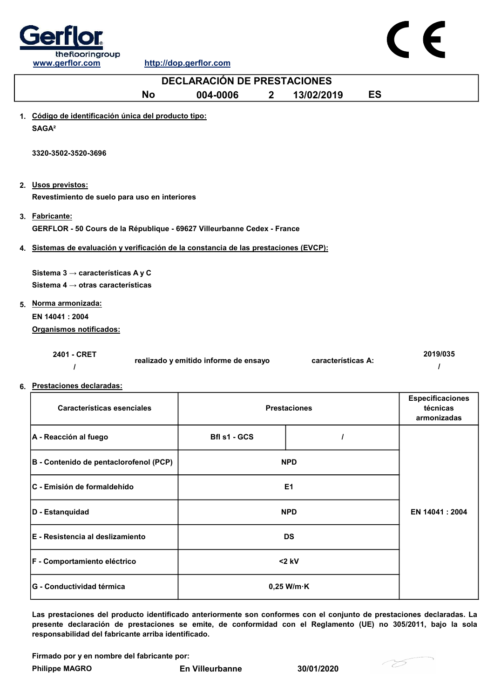



|                                                                                           | <b>DECLARACIÓN DE PRESTACIONES</b>    |              |                     |           |                                                    |
|-------------------------------------------------------------------------------------------|---------------------------------------|--------------|---------------------|-----------|----------------------------------------------------|
| <b>No</b>                                                                                 | 004-0006                              | $\mathbf{2}$ | 13/02/2019          | <b>ES</b> |                                                    |
| 1. Código de identificación única del producto tipo:<br>SAGA <sup>2</sup>                 |                                       |              |                     |           |                                                    |
| 3320-3502-3520-3696                                                                       |                                       |              |                     |           |                                                    |
| 2. Usos previstos:<br>Revestimiento de suelo para uso en interiores                       |                                       |              |                     |           |                                                    |
| 3. Fabricante:<br>GERFLOR - 50 Cours de la République - 69627 Villeurbanne Cedex - France |                                       |              |                     |           |                                                    |
| 4. Sistemas de evaluación y verificación de la constancia de las prestaciones (EVCP):     |                                       |              |                     |           |                                                    |
| Sistema 3 $\rightarrow$ características A y C                                             |                                       |              |                     |           |                                                    |
| Sistema 4 $\rightarrow$ otras características                                             |                                       |              |                     |           |                                                    |
| 5. Norma armonizada:                                                                      |                                       |              |                     |           |                                                    |
| EN 14041: 2004                                                                            |                                       |              |                     |           |                                                    |
| Organismos notificados:                                                                   |                                       |              |                     |           |                                                    |
| 2401 - CRET<br>$\prime$                                                                   | realizado y emitido informe de ensayo |              | características A:  |           | 2019/035<br>$\prime$                               |
| 6. Prestaciones declaradas:                                                               |                                       |              |                     |           |                                                    |
| Características esenciales                                                                |                                       |              | <b>Prestaciones</b> |           | <b>Especificaciones</b><br>técnicas<br>armonizadas |
| A - Reacción al fuego                                                                     | Bfl s1 - GCS                          |              | I                   |           |                                                    |

|                                        | ------     |                      |                 |
|----------------------------------------|------------|----------------------|-----------------|
| B - Contenido de pentaclorofenol (PCP) |            | <b>NPD</b>           |                 |
| C - Emisión de formaldehído            |            | E <sub>1</sub>       |                 |
| D - Estanquidad                        | <b>NPD</b> |                      | EN 14041 : 2004 |
| E - Resistencia al deslizamiento       | <b>DS</b>  |                      |                 |
| F - Comportamiento eléctrico           |            | $< 2$ kV             |                 |
| G - Conductividad térmica              |            | $0,25$ W/m $\cdot$ K |                 |

Las prestaciones del producto identificado anteriormente son conformes con el conjunto de prestaciones declaradas. La presente declaración de prestaciones se emite, de conformidad con el Reglamento (UE) no 305/2011, bajo la sola responsabilidad del fabricante arriba identificado.

Firmado por y en nombre del fabricante por:

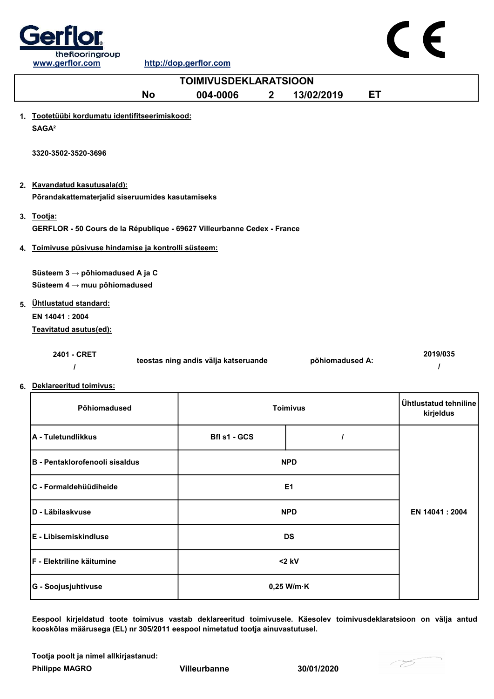

| <b>TOIMIVUSDEKLARATSIOON</b>                                                          |                                      |                |                 |    |                                    |  |
|---------------------------------------------------------------------------------------|--------------------------------------|----------------|-----------------|----|------------------------------------|--|
| <b>No</b>                                                                             | 004-0006                             | 2 <sup>1</sup> | 13/02/2019      | ET |                                    |  |
| 1. Tootetüübi kordumatu identifitseerimiskood:<br>SAGA <sup>2</sup>                   |                                      |                |                 |    |                                    |  |
| 3320-3502-3520-3696                                                                   |                                      |                |                 |    |                                    |  |
| 2. Kavandatud kasutusala(d):<br>Põrandakattematerjalid siseruumides kasutamiseks      |                                      |                |                 |    |                                    |  |
| 3. Tootja:<br>GERFLOR - 50 Cours de la République - 69627 Villeurbanne Cedex - France |                                      |                |                 |    |                                    |  |
| 4. Toimivuse püsivuse hindamise ja kontrolli süsteem:                                 |                                      |                |                 |    |                                    |  |
| Süsteem $3 \rightarrow p\ddot{o}$ hiomadused A ja C                                   |                                      |                |                 |    |                                    |  |
| Süsteem $4 \rightarrow$ muu põhiomadused                                              |                                      |                |                 |    |                                    |  |
|                                                                                       |                                      |                |                 |    |                                    |  |
| 5. Ühtlustatud standard:<br>EN 14041: 2004                                            |                                      |                |                 |    |                                    |  |
|                                                                                       |                                      |                |                 |    |                                    |  |
| Teavitatud asutus(ed):                                                                |                                      |                |                 |    |                                    |  |
| 2401 - CRET<br>$\prime$                                                               | teostas ning andis välja katseruande |                | põhiomadused A: |    | 2019/035<br>I                      |  |
| 6. Deklareeritud toimivus:                                                            |                                      |                |                 |    |                                    |  |
| Põhiomadused                                                                          |                                      |                | <b>Toimivus</b> |    | Ühtlustatud tehniline<br>kirjeldus |  |
| A - Tuletundlikkus                                                                    | Bfl s1 - GCS                         |                | $\prime$        |    |                                    |  |
| B - Pentaklorofenooli sisaldus                                                        |                                      |                | <b>NPD</b>      |    |                                    |  |

| Põhiomadused                   | <b>Toimivus</b>      |                 | Ühtlustatud tehniline<br>kirjeldus |
|--------------------------------|----------------------|-----------------|------------------------------------|
| <b>A - Tuletundlikkus</b>      | Bfl s1 - GCS         |                 |                                    |
| B - Pentaklorofenooli sisaldus | <b>NPD</b>           |                 |                                    |
| <b>IC - Formaldehüüdiheide</b> | E <sub>1</sub>       |                 |                                    |
| D - Läbilaskvuse               | <b>NPD</b>           | EN 14041 : 2004 |                                    |
| E - Libisemiskindluse          | <b>DS</b>            |                 |                                    |
| F - Elektriline käitumine      | $<$ 2 kV             |                 |                                    |
| <b>G</b> - Soojusjuhtivuse     | $0,25$ W/m $\cdot$ K |                 |                                    |

Eespool kirjeldatud toote toimivus vastab deklareeritud toimivusele. Käesolev toimivusdeklaratsioon on välja antud kooskõlas määrusega (EL) nr 305/2011 eespool nimetatud tootja ainuvastutusel.

Tootja poolt ja nimel allkirjastanud:

Philippe MAGRO Villeurbanne 30/01/2020

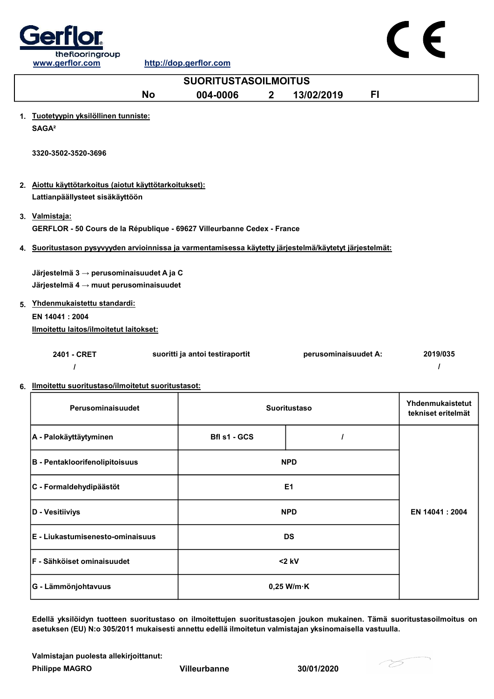

www.gerflor.com http://dop.gerflor.com

| www.gerrior.com                                                                                            |           | <u>http://aop.gerrior.com</u>   |              |                      |     |                                        |  |  |
|------------------------------------------------------------------------------------------------------------|-----------|---------------------------------|--------------|----------------------|-----|----------------------------------------|--|--|
| <b>SUORITUSTASOILMOITUS</b>                                                                                |           |                                 |              |                      |     |                                        |  |  |
|                                                                                                            | <b>No</b> | 004-0006                        | $\mathbf{2}$ | 13/02/2019           | FI. |                                        |  |  |
| 1. Tuotetyypin yksilöllinen tunniste:<br>SAGA <sup>2</sup>                                                 |           |                                 |              |                      |     |                                        |  |  |
| 3320-3502-3520-3696                                                                                        |           |                                 |              |                      |     |                                        |  |  |
| 2. Aiottu käyttötarkoitus (aiotut käyttötarkoitukset):<br>Lattianpäällysteet sisäkäyttöön                  |           |                                 |              |                      |     |                                        |  |  |
| 3. Valmistaja:<br>GERFLOR - 50 Cours de la République - 69627 Villeurbanne Cedex - France                  |           |                                 |              |                      |     |                                        |  |  |
| 4. Suoritustason pysyvyyden arvioinnissa ja varmentamisessa käytetty järjestelmä/käytetyt järjestelmät:    |           |                                 |              |                      |     |                                        |  |  |
| Järjestelmä 3 $\rightarrow$ perusominaisuudet A ja C<br>Järjestelmä $4 \rightarrow$ muut perusominaisuudet |           |                                 |              |                      |     |                                        |  |  |
| 5. Yhdenmukaistettu standardi:<br>EN 14041 : 2004                                                          |           |                                 |              |                      |     |                                        |  |  |
| Ilmoitettu laitos/ilmoitetut laitokset:                                                                    |           |                                 |              |                      |     |                                        |  |  |
| 2401 - CRET<br>$\prime$                                                                                    |           | suoritti ja antoi testiraportit |              | perusominaisuudet A: |     | 2019/035<br>$\prime$                   |  |  |
| 6. Ilmoitettu suoritustaso/ilmoitetut suoritustasot:                                                       |           |                                 |              |                      |     |                                        |  |  |
| Perusominaisuudet                                                                                          |           |                                 |              | <b>Suoritustaso</b>  |     | Yhdenmukaistetut<br>tekniset eritelmät |  |  |
| A - Palokäyttäytyminen                                                                                     |           | Bfl s1 - GCS                    |              | $\prime$             |     |                                        |  |  |

|  |  |  |                                                                                                        |  | Edellä yksilöidyn tuotteen suoritustaso on ilmoitettujen suoritustasojen joukon mukainen. Tämä suoritustasoilmoitus on |  |
|--|--|--|--------------------------------------------------------------------------------------------------------|--|------------------------------------------------------------------------------------------------------------------------|--|
|  |  |  | asetuksen (EU) N:o 305/2011 mukaisesti annettu edellä ilmoitetun valmistajan yksinomaisella vastuulla. |  |                                                                                                                        |  |

NPD

0,25 W/m·K

Valmistajan puolesta allekirjoittanut:

Philippe MAGRO Villeurbanne 30/01/2020

G - Lämmönjohtavuus

D - Vesitiiviys

E - Liukastumisenesto-ominaisuus DS

B - Pentakloorifenolipitoisuus | NPD

C - Formaldehydipäästöt E1

F - Sähköiset ominaisuudet <2 kV



EN 14041 : 2004

 $C \in$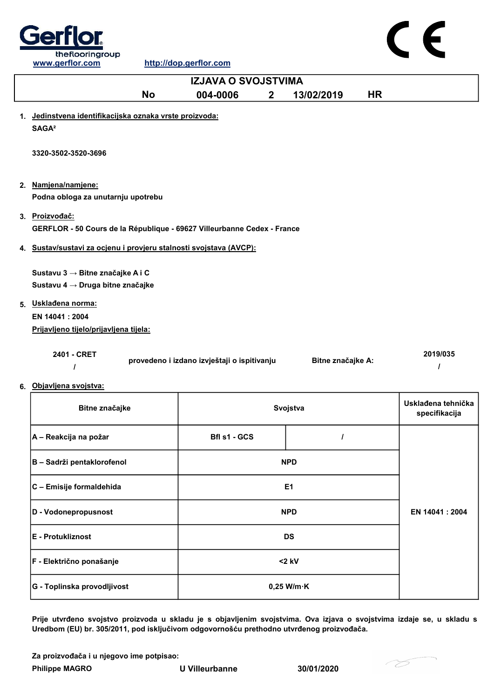

 $\epsilon$ 

| <b>No</b>                                                                                                                                                              | 004-0006     |                                                                                                                               | 13/02/2019                                                 | <b>HR</b>                                                                                                                                                                    |                                     |
|------------------------------------------------------------------------------------------------------------------------------------------------------------------------|--------------|-------------------------------------------------------------------------------------------------------------------------------|------------------------------------------------------------|------------------------------------------------------------------------------------------------------------------------------------------------------------------------------|-------------------------------------|
| SAGA <sup>2</sup>                                                                                                                                                      |              |                                                                                                                               |                                                            |                                                                                                                                                                              |                                     |
| 3320-3502-3520-3696                                                                                                                                                    |              |                                                                                                                               |                                                            |                                                                                                                                                                              |                                     |
| 2. Namjena/namjene:<br>Podna obloga za unutarnju upotrebu                                                                                                              |              |                                                                                                                               |                                                            |                                                                                                                                                                              |                                     |
| 3. Proizvođač:                                                                                                                                                         |              |                                                                                                                               |                                                            |                                                                                                                                                                              |                                     |
|                                                                                                                                                                        |              |                                                                                                                               |                                                            |                                                                                                                                                                              |                                     |
| Sustavu 3 → Bitne značajke A i C<br>Sustavu 4 → Druga bitne značajke<br>5. Uskladena norma:<br>EN 14041: 2004<br>Prijavljeno tijelo/prijavljena tijela:<br>2401 - CRET |              |                                                                                                                               |                                                            |                                                                                                                                                                              | 2019/035                            |
| Objavljena svojstva:<br>6.                                                                                                                                             |              |                                                                                                                               |                                                            |                                                                                                                                                                              | I                                   |
| Bitne značajke                                                                                                                                                         |              |                                                                                                                               |                                                            |                                                                                                                                                                              | Usklađena tehnička<br>specifikacija |
| A – Reakcija na požar                                                                                                                                                  | Bfl s1 - GCS |                                                                                                                               |                                                            |                                                                                                                                                                              |                                     |
| B - Sadrži pentaklorofenol                                                                                                                                             |              |                                                                                                                               |                                                            |                                                                                                                                                                              |                                     |
| C - Emisije formaldehida                                                                                                                                               |              |                                                                                                                               |                                                            |                                                                                                                                                                              |                                     |
| D - Vodonepropusnost                                                                                                                                                   |              |                                                                                                                               |                                                            |                                                                                                                                                                              | EN 14041 : 2004                     |
| E - Protukliznost                                                                                                                                                      |              |                                                                                                                               |                                                            |                                                                                                                                                                              |                                     |
|                                                                                                                                                                        |              | 1. Jedinstvena identifikacijska oznaka vrste proizvoda:<br>4. Sustav/sustavi za ocjenu i provjeru stalnosti svojstava (AVCP): | $2^{\circ}$<br>provedeno i izdano izvještaji o ispitivanju | <b>IZJAVA O SVOJSTVIMA</b><br>GERFLOR - 50 Cours de la République - 69627 Villeurbanne Cedex - France<br>Svojstva<br><b>NPD</b><br>E <sub>1</sub><br><b>NPD</b><br><b>DS</b> | Bitne značajke A:                   |

Prije utvrđeno svojstvo proizvoda u skladu je s objavljenim svojstvima. Ova izjava o svojstvima izdaje se, u skladu s Uredbom (EU) br. 305/2011, pod isključivom odgovornošću prethodno utvrđenog proizvođača.

Za proizvođača i u njegovo ime potpisao:

Philippe MAGRO U Villeurbanne 30/01/2020

F - Električno ponašanje <2 kV

G - Toplinska provodljivost **Canadian Access 1, 1998** 0,25 W/m·K

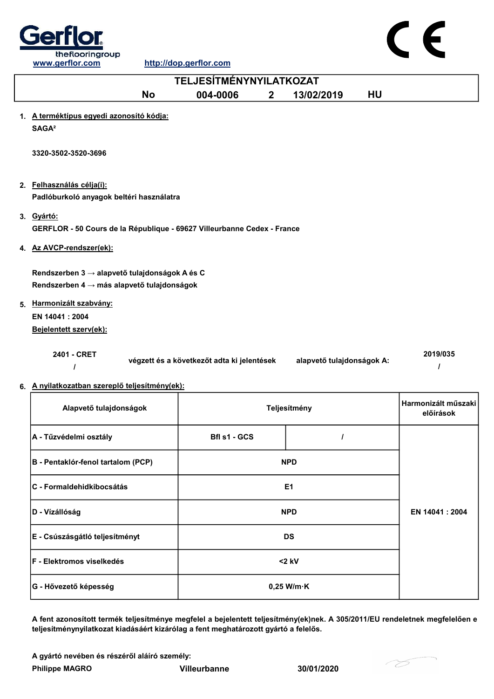

www.gerflor.com http://dop.gerflor.com

|    | <u>www.yernor.com</u>                                                                       |           | <u>IIIID.//UUD.yeHIUI.CUIII</u>            |              |                           |           |                                  |  |
|----|---------------------------------------------------------------------------------------------|-----------|--------------------------------------------|--------------|---------------------------|-----------|----------------------------------|--|
|    | <b>TELJESÍTMÉNYNYILATKOZAT</b>                                                              |           |                                            |              |                           |           |                                  |  |
|    |                                                                                             | <b>No</b> | 004-0006                                   | $\mathbf{2}$ | 13/02/2019                | <b>HU</b> |                                  |  |
|    | 1. A terméktípus egyedi azonosító kódja:<br>SAGA <sup>2</sup>                               |           |                                            |              |                           |           |                                  |  |
|    | 3320-3502-3520-3696                                                                         |           |                                            |              |                           |           |                                  |  |
|    | 2. Felhasználás célja(i):<br>Padlóburkoló anyagok beltéri használatra                       |           |                                            |              |                           |           |                                  |  |
|    | 3. Gyártó:<br>GERFLOR - 50 Cours de la République - 69627 Villeurbanne Cedex - France       |           |                                            |              |                           |           |                                  |  |
|    | 4. Az AVCP-rendszer(ek):                                                                    |           |                                            |              |                           |           |                                  |  |
|    | Rendszerben 3 → alapvető tulajdonságok A és C<br>Rendszerben 4 → más alapvető tulajdonságok |           |                                            |              |                           |           |                                  |  |
| 5. | Harmonizált szabvány:<br>EN 14041: 2004<br>Bejelentett szerv(ek):                           |           |                                            |              |                           |           |                                  |  |
|    | 2401 - CRET<br>6. A nyilatkozatban szereplő teljesítmény(ek):                               |           | végzett és a következőt adta ki jelentések |              | alapvető tulajdonságok A: |           | 2019/035<br>I                    |  |
|    | Alapvető tulajdonságok                                                                      |           |                                            |              | Teljesítmény              |           | Harmonizált műszaki<br>előírások |  |

| Alapvelo tulajuolisagok            | <b>Tellesitmeny</b> | előírások            |                 |
|------------------------------------|---------------------|----------------------|-----------------|
| A - Tűzvédelmi osztály             | Bfl s1 - GCS        |                      |                 |
| B - Pentaklór-fenol tartalom (PCP) | <b>NPD</b>          |                      |                 |
| IC - Formaldehidkibocsátás         | E1                  |                      |                 |
| D - Vízállóság                     | <b>NPD</b>          |                      | EN 14041 : 2004 |
| E - Csúszásgátló teljesítményt     |                     | <b>DS</b>            |                 |
| <b>IF - Elektromos viselkedés</b>  | $<$ 2 kV            |                      |                 |
| G - Hővezető képesség              |                     | $0,25$ W/m $\cdot$ K |                 |

A fent azonosított termék teljesítménye megfelel a bejelentett teljesítmény(ek)nek. A 305/2011/EU rendeletnek megfelelően e teljesítménynyilatkozat kiadásáért kizárólag a fent meghatározott gyártó a felelős.

A gyártó nevében és részéről aláíró személy:

Philippe MAGRO Villeurbanne 30/01/2020



 $\epsilon$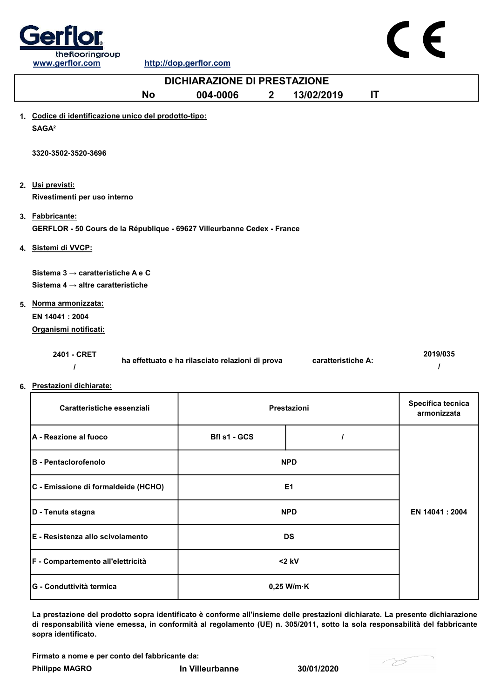

| <b>DICHIARAZIONE DI PRESTAZIONE</b>                                                            |                            |            |    |  |
|------------------------------------------------------------------------------------------------|----------------------------|------------|----|--|
| No                                                                                             | 004-0006<br>2 <sup>1</sup> | 13/02/2019 | IT |  |
| 1. Codice di identificazione unico del prodotto-tipo:<br>SAGA <sup>2</sup>                     |                            |            |    |  |
| 3320-3502-3520-3696                                                                            |                            |            |    |  |
| 2. Usi previsti:<br>Rivestimenti per uso interno                                               |                            |            |    |  |
| 3. Fabbricante:<br>GERFLOR - 50 Cours de la République - 69627 Villeurbanne Cedex - France     |                            |            |    |  |
| 4. Sistemi di VVCP:                                                                            |                            |            |    |  |
| Sistema $3 \rightarrow$ caratteristiche A e C<br>Sistema 4 $\rightarrow$ altre caratteristiche |                            |            |    |  |
| Norma armonizzata:<br>5.<br>EN 14041 : 2004<br>Organismi notificati:                           |                            |            |    |  |

| 2401 - CRET | ha effettuato e ha rilasciato relazioni di prova | caratteristiche A: | 2019/035 |
|-------------|--------------------------------------------------|--------------------|----------|
|             |                                                  |                    |          |

6. Prestazioni dichiarate:

| Caratteristiche essenziali               | Prestazioni          | Specifica tecnica<br>armonizzata |  |
|------------------------------------------|----------------------|----------------------------------|--|
| <b>A - Reazione al fuoco</b>             | Bfl s1 - GCS         |                                  |  |
| <b>B - Pentaclorofenolo</b>              | <b>NPD</b>           |                                  |  |
| C - Emissione di formaldeide (HCHO)      | E <sub>1</sub>       |                                  |  |
| D - Tenuta stagna                        | <b>NPD</b>           | EN 14041 : 2004                  |  |
| <b>IE - Resistenza allo scivolamento</b> |                      | <b>DS</b>                        |  |
| F - Compartemento all'elettricità        | $<$ 2 kV             |                                  |  |
| G - Conduttività termica                 | $0,25$ W/m $\cdot$ K |                                  |  |

La prestazione del prodotto sopra identificato è conforme all'insieme delle prestazioni dichiarate. La presente dichiarazione di responsabilità viene emessa, in conformità al regolamento (UE) n. 305/2011, sotto la sola responsabilità del fabbricante sopra identificato.

Firmato a nome e per conto del fabbricante da:

Philippe MAGRO **In Villeurbanne** 30/01/2020

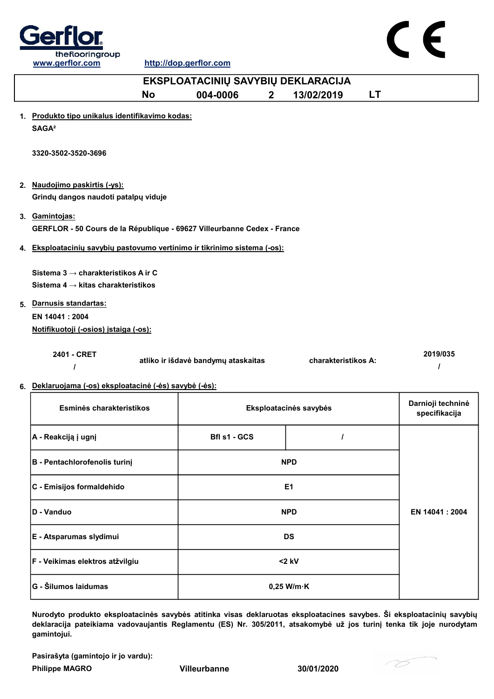



| EKSPLOATACINIŲ SAVYBIŲ DEKLARACIJA                                                        |                                     |                        |                                    |  |
|-------------------------------------------------------------------------------------------|-------------------------------------|------------------------|------------------------------------|--|
| <b>No</b>                                                                                 | 004-0006<br>2 <sup>1</sup>          | 13/02/2019             | <b>LT</b>                          |  |
| 1. Produkto tipo unikalus identifikavimo kodas:<br>SAGA <sup>2</sup>                      |                                     |                        |                                    |  |
| 3320-3502-3520-3696                                                                       |                                     |                        |                                    |  |
| 2. Naudojimo paskirtis (-ys):<br>Grindų dangos naudoti patalpų viduje                     |                                     |                        |                                    |  |
| 3. Gamintojas:<br>GERFLOR - 50 Cours de la République - 69627 Villeurbanne Cedex - France |                                     |                        |                                    |  |
| 4. Eksploatacinių savybių pastovumo vertinimo ir tikrinimo sistema (-os):                 |                                     |                        |                                    |  |
| Sistema 3 → charakteristikos A ir C<br>Sistema 4 $\rightarrow$ kitas charakteristikos     |                                     |                        |                                    |  |
| 5. Darnusis standartas:                                                                   |                                     |                        |                                    |  |
| EN 14041 : 2004                                                                           |                                     |                        |                                    |  |
| Notifikuotoji (-osios) įstaiga (-os):                                                     |                                     |                        |                                    |  |
| 2401 - CRET<br>$\prime$                                                                   | atliko ir išdavė bandymų ataskaitas | charakteristikos A:    | 2019/035<br>$\prime$               |  |
| 6. Deklaruojama (-os) eksploatacinė (-ės) savybė (-ės):                                   |                                     |                        |                                    |  |
| Esminės charakteristikos                                                                  |                                     | Eksploatacinės savybės | Darnioji techninė<br>specifikacija |  |
| A - Reakciją į ugnį                                                                       | Bfl s1 - GCS                        | $\prime$               |                                    |  |
| <b>B</b> - Pentachlorofenolis turinį                                                      |                                     | <b>NPD</b>             |                                    |  |
| C - Emisijos formaldehido                                                                 |                                     | E1                     |                                    |  |

D - Vanduo NPD E - Atsparumas slydimui DS EN 14041 : 2004 F - Veikimas elektros atžvilgiu <2 kV G - Šilumos laidumas **1986. gadā uz atstāvā uz Savādā uz Savādā uz Sav**ādā uz 0,25 W/m·K

Nurodyto produkto eksploatacinės savybės atitinka visas deklaruotas eksploatacines savybes. Ši eksploatacinių savybių deklaracija pateikiama vadovaujantis Reglamentu (ES) Nr. 305/2011, atsakomybė už jos turinį tenka tik joje nurodytam gamintojui.

Pasirašyta (gamintojo ir jo vardu):

Philippe MAGRO Villeurbanne 30/01/2020

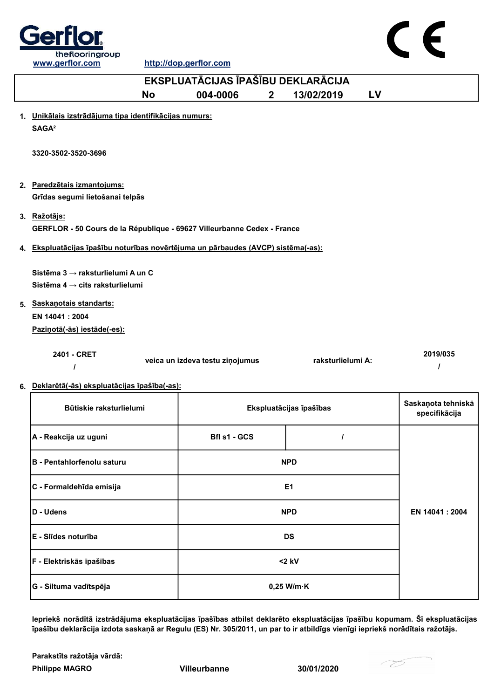

http://dop.gerflor.com



| EKSPLUATĀCIJAS ĪPAŠĪBU DEKLARĀCIJA                                                      |                                 |                         |    |                                     |
|-----------------------------------------------------------------------------------------|---------------------------------|-------------------------|----|-------------------------------------|
| <b>No</b>                                                                               | 004-0006<br>$\mathbf{2}$        | 13/02/2019              | LV |                                     |
| 1. Unikālais izstrādājuma tipa identifikācijas numurs:<br>SAGA <sup>2</sup>             |                                 |                         |    |                                     |
| 3320-3502-3520-3696                                                                     |                                 |                         |    |                                     |
| 2. Paredzētais izmantojums:<br>Grīdas segumi lietošanai telpās                          |                                 |                         |    |                                     |
| 3. Ražotājs:<br>GERFLOR - 50 Cours de la République - 69627 Villeurbanne Cedex - France |                                 |                         |    |                                     |
| 4. Ekspluatācijas īpašību noturības novērtējuma un pārbaudes (AVCP) sistēma(-as):       |                                 |                         |    |                                     |
| Sistēma 3 → raksturlielumi A un C<br>Sistēma 4 $\rightarrow$ cits raksturlielumi        |                                 |                         |    |                                     |
| 5. Saskanotais standarts:                                                               |                                 |                         |    |                                     |
| EN 14041: 2004                                                                          |                                 |                         |    |                                     |
| Pazinotā(-ās) iestāde(-es):                                                             |                                 |                         |    |                                     |
| 2401 - CRET<br>I                                                                        | veica un izdeva testu ziņojumus | raksturlielumi A:       |    | 2019/035                            |
| 6. Deklarētā(-ās) ekspluatācijas īpašība(-as):                                          |                                 |                         |    |                                     |
| Būtiskie raksturlielumi                                                                 |                                 | Ekspluatācijas īpašības |    | Saskaņota tehniskā<br>specifikācija |
| A - Reakcija uz uguni                                                                   | Bfl s1 - GCS                    | I                       |    |                                     |
| B - Pentahlorfenolu saturu                                                              |                                 | <b>NPD</b>              |    |                                     |
| C - Formaldehīda emisija                                                                |                                 | E <sub>1</sub>          |    |                                     |
| D - Udens                                                                               |                                 | <b>NPD</b>              |    | EN 14041 : 2004                     |
|                                                                                         |                                 |                         |    |                                     |

| $E - S$ līdes noturība     | <b>DS</b>            |  |
|----------------------------|----------------------|--|
| $F - Elektriskās īpašības$ | $<$ 2 kV             |  |
| G - Siltuma vadītspēja     | $0,25$ W/m $\cdot$ K |  |

Iepriekš norādītā izstrādājuma ekspluatācijas īpašības atbilst deklarēto ekspluatācijas īpašību kopumam. Šī ekspluatācijas īpašību deklarācija izdota saskaņā ar Regulu (ES) Nr. 305/2011, un par to ir atbildīgs vienīgi iepriekš norādītais ražotājs.

Philippe MAGRO Villeurbanne 30/01/2020 Parakstīts ražotāja vārdā:

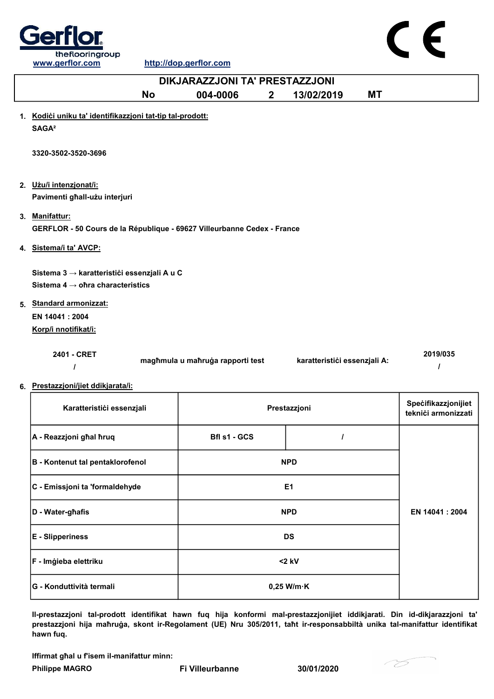

http://dop.gerflor.com



|                                                                                              | DIKJARAZZJONI TA' PRESTAZZJONI   |                              |                                            |
|----------------------------------------------------------------------------------------------|----------------------------------|------------------------------|--------------------------------------------|
| <b>No</b>                                                                                    | 004-0006<br>$\overline{2}$       | <b>MT</b><br>13/02/2019      |                                            |
| 1. Kodići uniku ta' identifikazzjoni tat-tip tal-prodott:<br>SAGA <sup>2</sup>               |                                  |                              |                                            |
| 3320-3502-3520-3696                                                                          |                                  |                              |                                            |
| 2. Użu/i intenzjonat/i:<br>Pavimenti ghall-użu interjuri                                     |                                  |                              |                                            |
| 3. Manifattur:<br>GERFLOR - 50 Cours de la République - 69627 Villeurbanne Cedex - France    |                                  |                              |                                            |
| 4. Sistema/i ta' AVCP:                                                                       |                                  |                              |                                            |
| Sistema 3 → karatteristići essenzjali A u C<br>Sistema 4 $\rightarrow$ ofira characteristics |                                  |                              |                                            |
| 5. Standard armonizzat:<br>EN 14041 : 2004<br>Korp/i nnotifikat/i:                           |                                  |                              |                                            |
| 2401 - CRET<br>$\prime$                                                                      | magħmula u maħruġa rapporti test | karatteristići essenzjali A: | 2019/035<br>$\prime$                       |
| 6. Prestazzjoni/jiet ddikjarata/i:                                                           |                                  |                              |                                            |
| Karatteristići essenzjali                                                                    |                                  | Prestazzjoni                 | Specifikazzjonijiet<br>teknići armonizzati |
| A - Reazzjoni ghal hruq                                                                      | Bfl s1 - GCS                     | $\prime$                     |                                            |
| <b>B</b> - Kontenut tal pentaklorofenol                                                      |                                  | <b>NPD</b>                   |                                            |
| C - Emissjoni ta 'formaldehyde                                                               |                                  | E <sub>1</sub>               |                                            |

Il-prestazzjoni tal-prodott identifikat hawn fuq hija konformi mal-prestazzjonijiet iddikjarati. Din id-dikjarazzjoni ta' prestazzjoni hija maħruġa, skont ir-Regolament (UE) Nru 305/2011, taħt ir-responsabbiltà unika tal-manifattur identifikat hawn fuq.

Iffirmat għal u f'isem il-manifattur minn:

D - Water-għafis NPD

E - Slipperiness DS

F - Imġieba elettriku a matematika komzulator da katalana komzulator da katalana komzulator da katalana komzul

G - Konduttività termali 0,25 W/m·K



EN 14041 : 2004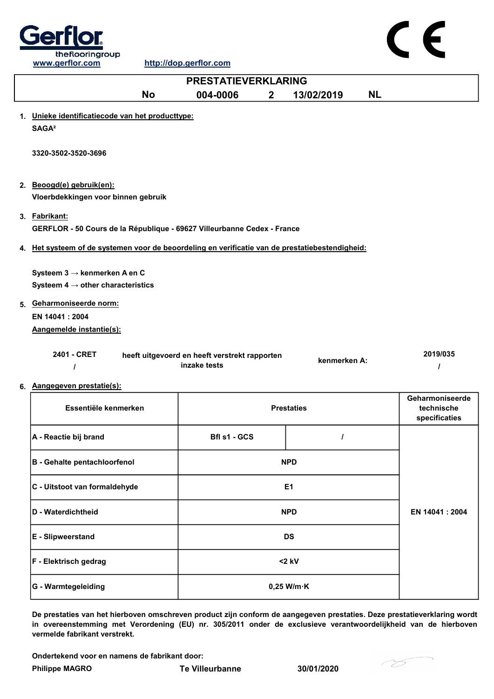



| Essentiële kenmerken          |                      | <b>Prestaties</b> |                |
|-------------------------------|----------------------|-------------------|----------------|
| A - Reactie bij brand         | Bfl s1 - GCS         |                   |                |
| B - Gehalte pentachloorfenol  | <b>NPD</b>           |                   |                |
| C - Uitstoot van formaldehyde | E <sub>1</sub>       |                   |                |
| <b>D - Waterdichtheid</b>     | <b>NPD</b>           |                   | EN 14041: 2004 |
| E - Slipweerstand             | <b>DS</b>            |                   |                |
| F - Elektrisch gedrag         | $<$ 2 kV             |                   |                |
| G - Warmtegeleiding           | $0,25$ W/m $\cdot$ K |                   |                |

De prestaties van het hierboven omschreven product zijn conform de aangegeven prestaties. Deze prestatieverklaring wordt in overeenstemming met Verordening (EU) nr. 305/2011 onder de exclusieve verantwoordelijkheid van de hierboven vermelde fabrikant verstrekt.

Ondertekend voor en namens de fabrikant door:

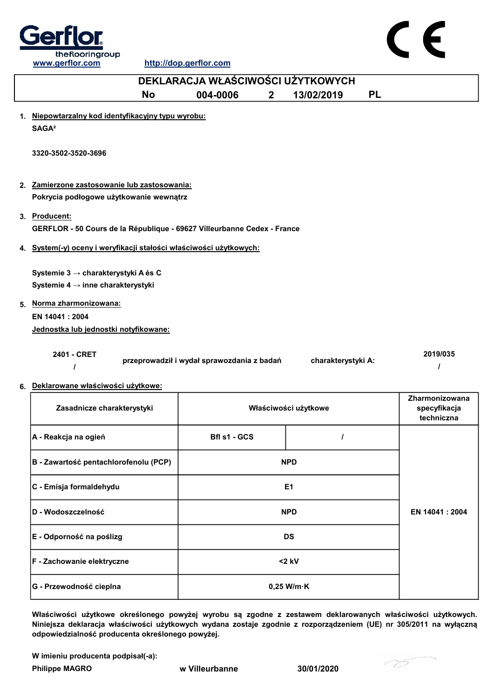



| DEKLARACJA WŁAŚCIWOŚCI UŻYTKOWYCH                                                        |                                            |                |                      |           |                                              |
|------------------------------------------------------------------------------------------|--------------------------------------------|----------------|----------------------|-----------|----------------------------------------------|
| <b>No</b>                                                                                | 004-0006                                   | 2 <sup>1</sup> | 13/02/2019           | <b>PL</b> |                                              |
| 1. Niepowtarzalny kod identyfikacyjny typu wyrobu:                                       |                                            |                |                      |           |                                              |
| SAGA <sup>2</sup>                                                                        |                                            |                |                      |           |                                              |
| 3320-3502-3520-3696                                                                      |                                            |                |                      |           |                                              |
| 2. Zamierzone zastosowanie lub zastosowania:                                             |                                            |                |                      |           |                                              |
| Pokrycia podłogowe użytkowanie wewnątrz                                                  |                                            |                |                      |           |                                              |
| 3. Producent:<br>GERFLOR - 50 Cours de la République - 69627 Villeurbanne Cedex - France |                                            |                |                      |           |                                              |
| 4. System(-y) oceny i weryfikacji stałości właściwości użytkowych:                       |                                            |                |                      |           |                                              |
| Systemie 3 → charakterystyki A és C                                                      |                                            |                |                      |           |                                              |
| Systemie 4 $\rightarrow$ inne charakterystyki                                            |                                            |                |                      |           |                                              |
| 5. Norma zharmonizowana:                                                                 |                                            |                |                      |           |                                              |
| EN 14041: 2004                                                                           |                                            |                |                      |           |                                              |
| Jednostka lub jednostki notyfikowane:                                                    |                                            |                |                      |           |                                              |
| 2401 - CRET<br>I                                                                         | przeprowadził i wydał sprawozdania z badań |                | charakterystyki A:   |           | 2019/035                                     |
| 6. Deklarowane właściwości użytkowe:                                                     |                                            |                |                      |           |                                              |
| Zasadnicze charakterystyki                                                               |                                            |                | Właściwości użytkowe |           | Zharmonizowana<br>specyfikacja<br>techniczna |
| A - Reakcja na ogień                                                                     | Bfl s1 - GCS                               |                | I                    |           |                                              |
| B - Zawartość pentachlorofenolu (PCP)                                                    |                                            |                | <b>NPD</b>           |           |                                              |

Właściwości użytkowe określonego powyżej wyrobu są zgodne z zestawem deklarowanych właściwości użytkowych. Niniejsza deklaracja właściwości użytkowych wydana zostaje zgodnie z rozporządzeniem (UE) nr 305/2011 na wyłączną odpowiedzialność producenta określonego powyżej.

0,25 W/m·K

W imieniu producenta podpisał(-a):

G - Przewodność cieplna

Philippe MAGRO w Villeurbanne 30/01/2020

D - Wodoszczelność NPD

C - Emisja formaldehydu E1

E - Odporność na poślizg do do do do do do do do do do DS

F - Zachowanie elektryczne <2 kV



EN 14041 : 2004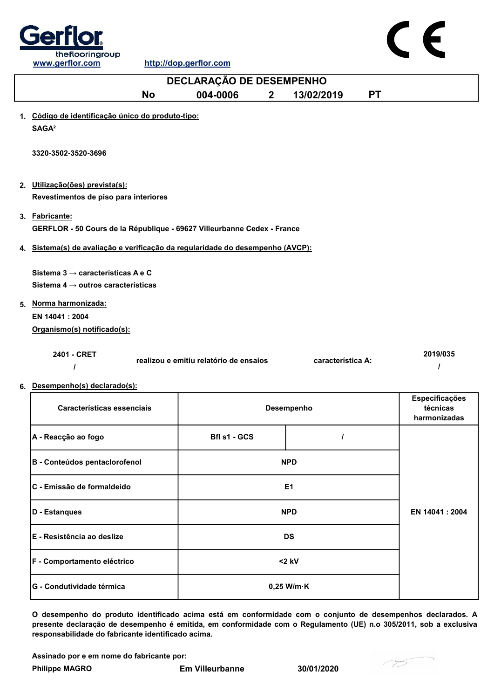

| DECLARAÇÃO DE DESEMPENHO                                                       |           |                                        |              |                   |           |                          |
|--------------------------------------------------------------------------------|-----------|----------------------------------------|--------------|-------------------|-----------|--------------------------|
|                                                                                | <b>No</b> | 004-0006                               | $\mathbf{2}$ | 13/02/2019        | <b>PT</b> |                          |
| 1. Código de identificação único do produto-tipo:                              |           |                                        |              |                   |           |                          |
| SAGA <sup>2</sup>                                                              |           |                                        |              |                   |           |                          |
|                                                                                |           |                                        |              |                   |           |                          |
| 3320-3502-3520-3696                                                            |           |                                        |              |                   |           |                          |
|                                                                                |           |                                        |              |                   |           |                          |
| 2. Utilização(ões) prevista(s):                                                |           |                                        |              |                   |           |                          |
| Revestimentos de piso para interiores                                          |           |                                        |              |                   |           |                          |
| 3. Fabricante:                                                                 |           |                                        |              |                   |           |                          |
| GERFLOR - 50 Cours de la République - 69627 Villeurbanne Cedex - France        |           |                                        |              |                   |           |                          |
|                                                                                |           |                                        |              |                   |           |                          |
| 4. Sistema(s) de avaliação e verificação da regularidade do desempenho (AVCP): |           |                                        |              |                   |           |                          |
|                                                                                |           |                                        |              |                   |           |                          |
| Sistema 3 $\rightarrow$ características A e C                                  |           |                                        |              |                   |           |                          |
| Sistema 4 $\rightarrow$ outros características                                 |           |                                        |              |                   |           |                          |
| 5. Norma harmonizada:                                                          |           |                                        |              |                   |           |                          |
| EN 14041 : 2004                                                                |           |                                        |              |                   |           |                          |
| Organismo(s) notificado(s):                                                    |           |                                        |              |                   |           |                          |
|                                                                                |           |                                        |              |                   |           |                          |
| 2401 - CRET                                                                    |           | realizou e emitiu relatório de ensaios |              | característica A: |           | 2019/035                 |
| $\prime$                                                                       |           |                                        |              |                   |           |                          |
| 6. Desempenho(s) declarado(s):                                                 |           |                                        |              |                   |           |                          |
|                                                                                |           |                                        |              |                   |           | Especificações           |
| Características essenciais                                                     |           |                                        |              | Desempenho        |           | técnicas<br>harmonizadas |
|                                                                                |           |                                        |              |                   |           |                          |
| A - Reacção ao fogo                                                            |           | Bfl s1 - GCS                           |              | $\prime$          |           |                          |
| $\mathbf{B}$ . Quate future is eater the state of                              |           |                                        |              | <b>NDR</b>        |           |                          |

| B - Conteúdos pentaclorofenol      | <b>NPD</b>           |                 |
|------------------------------------|----------------------|-----------------|
| IC - Emissão de formaldeído        | E1                   |                 |
| D - Estanques                      | <b>NPD</b>           | EN 14041 : 2004 |
| <b>IE - Resistência ao deslize</b> | <b>DS</b>            |                 |
| F - Comportamento eléctrico        | $<$ 2 kV             |                 |
| <b>IG - Condutividade térmica</b>  | $0,25$ W/m $\cdot$ K |                 |

O desempenho do produto identificado acima está em conformidade com o conjunto de desempenhos declarados. A presente declaração de desempenho é emitida, em conformidade com o Regulamento (UE) n.o 305/2011, sob a exclusiva responsabilidade do fabricante identificado acima.

Assinado por e em nome do fabricante por:

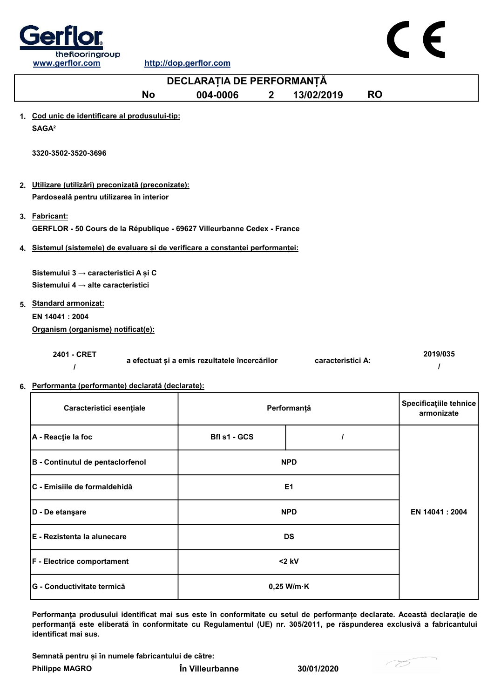



|    |                                                                                                 | DECLARAȚIA DE PERFORMANȚĂ                     |                |                   |           |                                      |
|----|-------------------------------------------------------------------------------------------------|-----------------------------------------------|----------------|-------------------|-----------|--------------------------------------|
|    | <b>No</b>                                                                                       | 004-0006                                      | $\overline{2}$ | 13/02/2019        | <b>RO</b> |                                      |
|    | 1. Cod unic de identificare al produsului-tip:<br>SAGA <sup>2</sup>                             |                                               |                |                   |           |                                      |
|    | 3320-3502-3520-3696                                                                             |                                               |                |                   |           |                                      |
|    | 2. Utilizare (utilizări) preconizată (preconizate):<br>Pardoseală pentru utilizarea în interior |                                               |                |                   |           |                                      |
|    | 3. Fabricant:<br>GERFLOR - 50 Cours de la République - 69627 Villeurbanne Cedex - France        |                                               |                |                   |           |                                      |
| 4. | Sistemul (sistemele) de evaluare și de verificare a constanței performanței:                    |                                               |                |                   |           |                                      |
|    | Sistemului 3 → caracteristici A și C<br>Sistemului 4 $\rightarrow$ alte caracteristici          |                                               |                |                   |           |                                      |
|    | 5. Standard armonizat:                                                                          |                                               |                |                   |           |                                      |
|    | EN 14041 : 2004<br>Organism (organisme) notificat(e):                                           |                                               |                |                   |           |                                      |
|    | 2401 - CRET                                                                                     | a efectuat și a emis rezultatele încercărilor |                | caracteristici A: |           | 2019/035                             |
|    | 6. Performanța (performanțe) declarată (declarate):                                             |                                               |                |                   |           |                                      |
|    | Caracteristici esențiale                                                                        |                                               |                | Performanță       |           | Specificațiile tehnice<br>armonizate |
|    | A - Reacție la foc                                                                              | Bfl s1 - GCS                                  |                | I                 |           |                                      |
|    | B - Continutul de pentaclorfenol                                                                |                                               |                | <b>NPD</b>        |           |                                      |
|    | C - Emisiile de formaldehidă                                                                    |                                               |                | E <sub>1</sub>    |           |                                      |
|    | D - De etanşare                                                                                 |                                               |                | <b>NPD</b>        |           | EN 14041 : 2004                      |

| $<$ 2 kV<br><b>F</b> - Electrice comportament<br>G - Conductivitate termică<br>$0,25$ W/m $\cdot$ K | E - Rezistenta la alunecare | <b>DS</b> |
|-----------------------------------------------------------------------------------------------------|-----------------------------|-----------|
|                                                                                                     |                             |           |
|                                                                                                     |                             |           |

Performanța produsului identificat mai sus este în conformitate cu setul de performanțe declarate. Această declarație de performanță este eliberată în conformitate cu Regulamentul (UE) nr. 305/2011, pe răspunderea exclusivă a fabricantului identificat mai sus.

Semnată pentru și în numele fabricantului de către:

Philippe MAGRO În Villeurbanne 30/01/2020

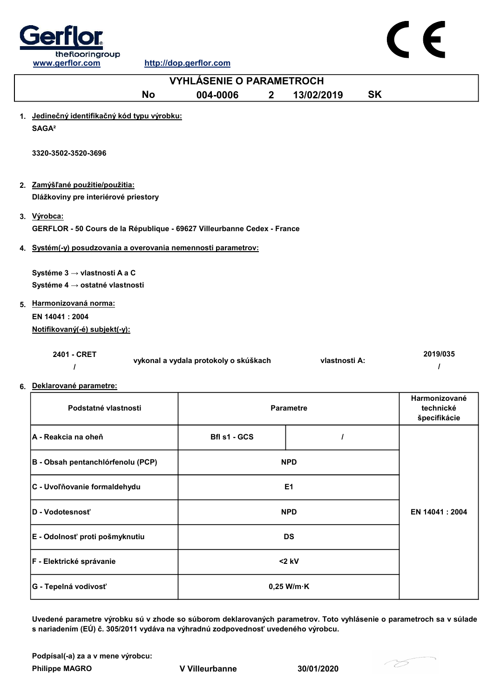



1. Jedinečný identifikačný kód typu výrobku:

SAGA²

3320-3502-3520-3696

- 2. Zamýšľané použitie/použitia: Dlážkoviny pre interiérové priestory
- 3. Výrobca: GERFLOR - 50 Cours de la République - 69627 Villeurbanne Cedex - France
- 4. Systém(-y) posudzovania a overovania nemennosti parametrov:

Systéme 3 → vlastnosti A a C Systéme 4 → ostatné vlastnosti

5. Harmonizovaná norma: EN 14041 : 2004 Notifikovaný(-é) subjekt(-y):

| 2401 - CRET | vykonal a vydala protokoly o skúškach | vlastnosti A: | 2019/035 |
|-------------|---------------------------------------|---------------|----------|
|             |                                       |               |          |

6. Deklarované parametre:

| Podstatné vlastnosti              | <b>Parametre</b>     |  | Harmonizované<br>technické<br>špecifikácie |
|-----------------------------------|----------------------|--|--------------------------------------------|
| A - Reakcia na oheň               | Bfl s1 - GCS         |  |                                            |
| B - Obsah pentanchlórfenolu (PCP) | <b>NPD</b>           |  |                                            |
| C - Uvoľňovanie formaldehydu      | E <sub>1</sub>       |  |                                            |
| D - Vodotesnosť                   | <b>NPD</b>           |  | EN 14041 : 2004                            |
| E - Odolnosť proti pošmyknutiu    | <b>DS</b>            |  |                                            |
| F - Elektrické správanie          | $<$ 2 kV             |  |                                            |
| G - Tepelná vodivosť              | $0,25$ W/m $\cdot$ K |  |                                            |

Uvedené parametre výrobku sú v zhode so súborom deklarovaných parametrov. Toto vyhlásenie o parametroch sa v súlade s nariadením (EÚ) č. 305/2011 vydáva na výhradnú zodpovednosť uvedeného výrobcu.

Podpísal(-a) za a v mene výrobcu:

Philippe MAGRO V Villeurbanne 30/01/2020

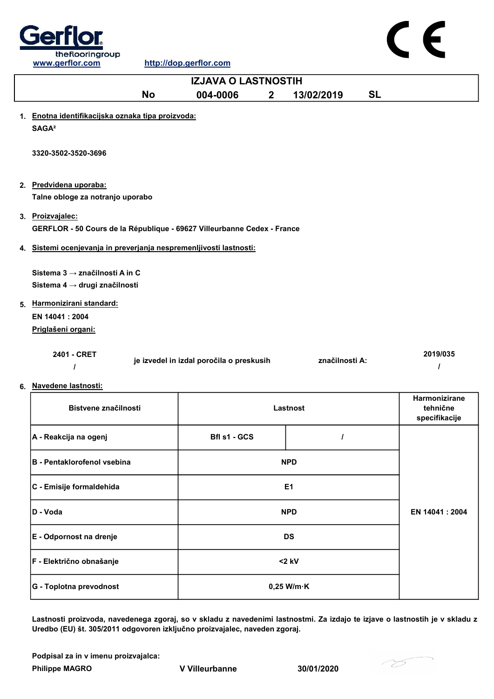



| A - Reakcija na ogenj              | Bfl s1 - GCS   |                      |                |
|------------------------------------|----------------|----------------------|----------------|
| <b>B</b> - Pentaklorofenol vsebina | <b>NPD</b>     |                      |                |
| C - Emisije formaldehida           | E <sub>1</sub> |                      |                |
| D - Voda                           | <b>NPD</b>     |                      | EN 14041: 2004 |
| E - Odpornost na drenje            | DS             |                      |                |
| F - Električno obnašanje           | $<$ 2 kV       |                      |                |
| G - Toplotna prevodnost            |                | $0,25$ W/m $\cdot$ K |                |

Lastnosti proizvoda, navedenega zgoraj, so v skladu z navedenimi lastnostmi. Za izdajo te izjave o lastnostih je v skladu z Uredbo (EU) št. 305/2011 odgovoren izključno proizvajalec, naveden zgoraj.

Podpisal za in v imenu proizvajalca:

Philippe MAGRO V Villeurbanne 30/01/2020